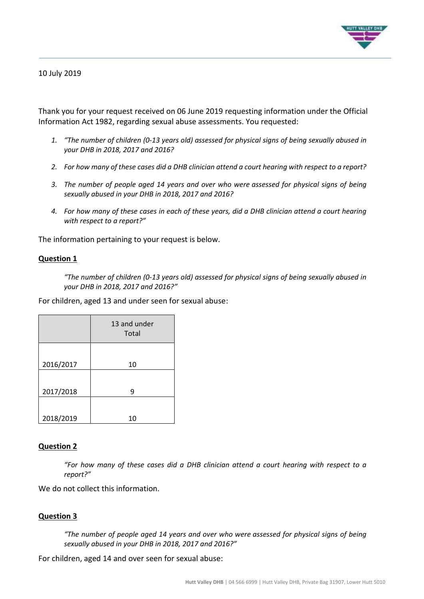

## 10 July 2019

Thank you for your request received on 06 June 2019 requesting information under the Official Information Act 1982, regarding sexual abuse assessments. You requested:

- *1. "The number of children (0-13 years old) assessed for physical signs of being sexually abused in your DHB in 2018, 2017 and 2016?*
- *2. For how many of these cases did a DHB clinician attend a court hearing with respect to a report?*
- *3. The number of people aged 14 years and over who were assessed for physical signs of being sexually abused in your DHB in 2018, 2017 and 2016?*
- *4. For how many of these cases in each of these years, did a DHB clinician attend a court hearing with respect to a report?"*

The information pertaining to your request is below.

#### **Question 1**

*"The number of children (0-13 years old) assessed for physical signs of being sexually abused in your DHB in 2018, 2017 and 2016?"*

For children, aged 13 and under seen for sexual abuse:

|           | 13 and under<br>Total |
|-----------|-----------------------|
| 2016/2017 | 10                    |
| 2017/2018 | 9                     |
| 2018/2019 | 10                    |

#### **Question 2**

*"For how many of these cases did a DHB clinician attend a court hearing with respect to a report?"*

We do not collect this information.

### **Question 3**

*"The number of people aged 14 years and over who were assessed for physical signs of being sexually abused in your DHB in 2018, 2017 and 2016?"*

For children, aged 14 and over seen for sexual abuse: